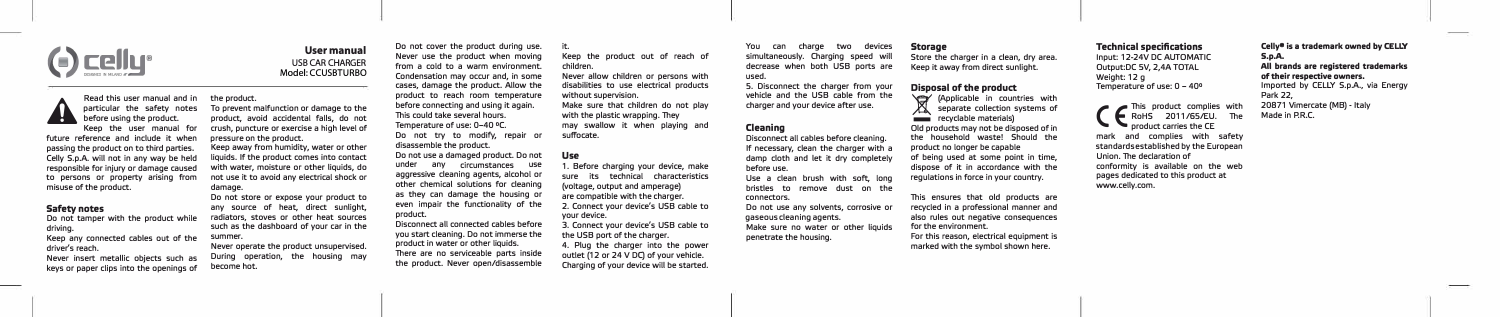

**Usermanual**  USB CAR CHARGER Model: CCUSBTURBO

**Read this user manual and in particular the safety notes before using the product. Keep the user manual for future reference and include it when passing the product on to third parties. Celly S.p.A. will not in any way be held responsible for injury or damage caused to persons or property arising from misuse of the product. pressure on the product. damage.** 

### **Safety notes**

A

**Do not tamper with the product while driving. Keep any connected cables out of the driver's reach. Never insert metallic objects such as** 

**the product. To prevent malfunction or damage to the product, avoid accidental falls, do not crush, puncture or exercise a high leve! of Keep away from humidity, water or other liquids. lf the product comes into contact with water, moisture or other liquids, do not use it to avoid any electrical shock or** 

**Do not store or expose your product to any source of heat, direct sunlight, radiators, stoves or other heat sources such as the dashboard of your car in the summer.** 

**keys or paper clips into the openings of Never operate the product unsupervised. During operation, the housing may become hot.** 

**Do not cover the product during use. Never use the product when moving from a cold to a warm environment. Condensation may occur and, in some cases, damage the product. Allow the product to reach room temperature before connecting and using it again. lhis could take severa! hours. Temperature of use: 0-40 °c. Do not try to modify, repair or disassemble the product.** 

**Do not use a damaged product. Do not under any circumstances use aggressive cleaning agents, alcohol or other chemical solutions for cleaning as they can damage the housing or even impair the functionality of the product.** 

**Disconnect ali connected cables before you start cleaning. Do not immerse the product in water or other liquids. There are no serviceable parts inside the product. Never open/disassemble** 

**it. Keep the product out of reach of children. Never allow children or persons with disabilities to use electrical products without supervision. Make sure that children do not play**  with the plastic wrapping. They **may swallow it when playing and** 

**suffocate.** 

### **Use**

**1. Before charging your device, make sure its technical characteristics (voltage, output and amperage) are compatible with the charger. 2. Connect your device's USB cable to your device.** 

**3. Connect your device's USB cable to the USB port of the charger. 4. Plug the charger into the power**  outlet (12 or 24 V DC) of your vehicle. **Charging of your device will be started.** 

#### **You can charge two devices Storage**

**simultaneously. Charging speed will decrease when both USB ports are Store the charger in a clean, dry area. Keep it away from direct sunlight.** 

**5. Disconnect the charger from your vehicle and the USB cable from the charger and your device after use. Disposal of the product 'Q' {Applicable in countries with A** separate collection systems of recyclable materials)

### **Cleaning**

**used.** 

**Disconnect ali cables before cleaning. lf necessary, clean the charger with a damp cloth and let it dry completely before use. Use a clean brush with soft, long bristles to remove dust on the connectors. Do not use any solvents, corrosive or gaseous cleaning agents. Make sure no water or other liquids penetrate the housing.** 

**Technical specifications** 

**Input: 12-24V DC AUTOMATIC Output:DC SV, 2,4A TOTAL Weight: 12 g Temperature of use: O - 40°**  ( E **leading** This product complies with **RoHS** 2011/65/FU. The **RoHS** 2011/65/EU. **product carries the CE mark and complies with safety standards established by the European** 

**conformity is available on the web pages dedicated to this product at** 

**Union.** The declaration of

**www.celly.com.** 

**Celly• is a trademark owned by CELLY S.p.A. Ali brands are registered trademarks of their respective owners. lmported by CELLY S.p.A., via Energy Park 22, 20871 Vimercate {MB) - ltaly Made in P.R.C.** 

**Old products may not be disposed of in the household waste! Should the product no longer be capable of being used at some point in time, dispose of it in accordance with the regulations in farce in your country. lhis ensures that old products are recycled in a professional manner and** 

**also rules out negative consequences** 

**Far this reason, electrical equipment is marked with the symbol shown here.** 

**far the environment.**